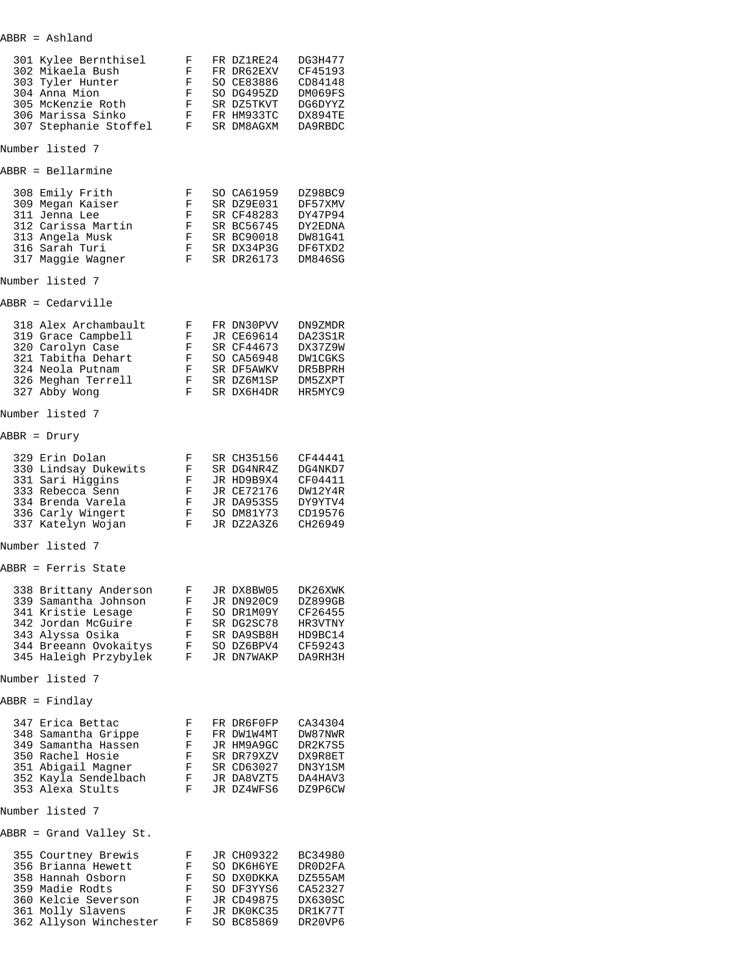| ABBR | Ashland |
|------|---------|
|      |         |

| 301 Kylee Bernthisel<br>302 Mikaela Bush<br>303 Tyler Hunter<br>304 Anna Mion<br>305 McKenzie Roth<br>306 Marissa Sinko<br>307 Stephanie Stoffel                       | F<br>F<br>F<br>F<br>F<br>F<br>F | FR DZ1RE24<br>FR DR62EXV<br>SO CE83886<br>SO DG495ZD<br>SR DZ5TKVT<br>FR HM933TC<br>SR DM8AGXM | DG3H477<br>CF45193<br>CD84148<br>DM069FS<br>DG6DYYZ<br>DX894TE<br>DA9RBDC        |
|------------------------------------------------------------------------------------------------------------------------------------------------------------------------|---------------------------------|------------------------------------------------------------------------------------------------|----------------------------------------------------------------------------------|
| Number listed 7                                                                                                                                                        |                                 |                                                                                                |                                                                                  |
| ABBR = Bellarmine                                                                                                                                                      |                                 |                                                                                                |                                                                                  |
| 308 Emily Frith<br>309 Megan Kaiser<br>311 Jenna Lee<br>312 Carissa Martin<br>313 Angela Musk<br>316 Sarah Turi<br>317 Maggie Wagner                                   | F<br>F<br>F<br>F<br>F<br>F<br>F | SO CA61959<br>SR DZ9E031<br>SR CF48283<br>SR BC56745<br>SR BC90018<br>SR DX34P3G<br>SR DR26173 | DZ98BC9<br>DF57XMV<br>DY47P94<br>DY2EDNA<br>DW81G41<br>DF6TXD2<br><b>DM846SG</b> |
| Number listed 7                                                                                                                                                        |                                 |                                                                                                |                                                                                  |
| ABBR = Cedarville                                                                                                                                                      |                                 |                                                                                                |                                                                                  |
| 318 Alex Archambault<br>319 Grace Campbell<br>320 Carolyn Case<br>321 Tabitha Dehart<br>324 Neola Putnam<br>326 Meghan Terrell<br>327 Abby Wong                        | F<br>F<br>F<br>F<br>F<br>F<br>F | FR DN30PVV<br>JR CE69614<br>SR CF44673<br>SO CA56948<br>SR DF5AWKV<br>SR DZ6M1SP<br>SR DX6H4DR | DN9ZMDR<br>DA23S1R<br>DX37Z9W<br><b>DW1CGKS</b><br>DR5BPRH<br>DM5ZXPT<br>HR5MYC9 |
| Number listed 7                                                                                                                                                        |                                 |                                                                                                |                                                                                  |
| ABBR = Drury                                                                                                                                                           |                                 |                                                                                                |                                                                                  |
| 329 Erin Dolan<br>330 Lindsay Dukewits<br>331 Sari Higgins<br>333 Rebecca Senn<br>334 Brenda Varela<br>336 Carly Wingert<br>337 Katelyn Wojan                          | F<br>F<br>F<br>F<br>F<br>F<br>F | SR CH35156<br>SR DG4NR4Z<br>JR HD9B9X4<br>JR CE72176<br>JR DA953S5<br>SO DM81Y73<br>JR DZ2A3Z6 | CF44441<br>DG4NKD7<br>CF04411<br>DW12Y4R<br>DY9YTV4<br>CD19576<br>CH26949        |
| Number listed 7                                                                                                                                                        |                                 |                                                                                                |                                                                                  |
| ABBR = Ferris State                                                                                                                                                    |                                 |                                                                                                |                                                                                  |
| 338 Brittany Anderson<br>339 Samantha Johnson<br>341 Kristie Lesage<br>342 Jordan McGuire<br>343 Alyssa Osika<br>344 Breeann Ovokaitys<br>345 Haleigh Przybylek        | F<br>F<br>F<br>F<br>F<br>F<br>F | JR DX8BW05<br>JR DN920C9<br>SO DR1M09Y<br>SR DG2SC78<br>SR DA9SB8H<br>SO DZ6BPV4<br>JR DN7WAKP | DK26XWK<br>DZ899GB<br>CF26455<br>HR3VTNY<br>HD9BC14<br>CF59243<br>DA9RH3H        |
| Number listed 7                                                                                                                                                        |                                 |                                                                                                |                                                                                  |
| ABBR = Findlay<br>347 Erica Bettac<br>348 Samantha Grippe<br>349 Samantha Hassen<br>350 Rachel Hosie<br>351 Abigail Magner<br>352 Kayla Sendelbach<br>353 Alexa Stults | F<br>F<br>F<br>F<br>F<br>F<br>F | FR DR6F0FP<br>FR DW1W4MT<br>JR HM9A9GC<br>SR DR79XZV<br>SR CD63027<br>JR DA8VZT5<br>JR DZ4WFS6 | CA34304<br>DW87NWR<br>DR2K7S5<br>DX9R8ET<br>DN3Y1SM<br>DA4HAV3<br>DZ9P6CW        |
| Number listed 7                                                                                                                                                        |                                 |                                                                                                |                                                                                  |
| ABBR = Grand Valley St.                                                                                                                                                |                                 |                                                                                                |                                                                                  |
| 355 Courtney Brewis<br>356 Brianna Hewett<br>358 Hannah Osborn<br>359 Madie Rodts<br>360 Kelcie Severson<br>361 Molly Slavens<br>362 Allyson Winchester                | F<br>F<br>F<br>F<br>F<br>F<br>F | JR CH09322<br>SO DK6H6YE<br>SO DXODKKA<br>SO DF3YYS6<br>JR CD49875<br>JR DK0KC35<br>SO BC85869 | BC34980<br>DR0D2FA<br>DZ555AM<br>CA52327<br>DX630SC<br>DR1K77T<br>DR20VP6        |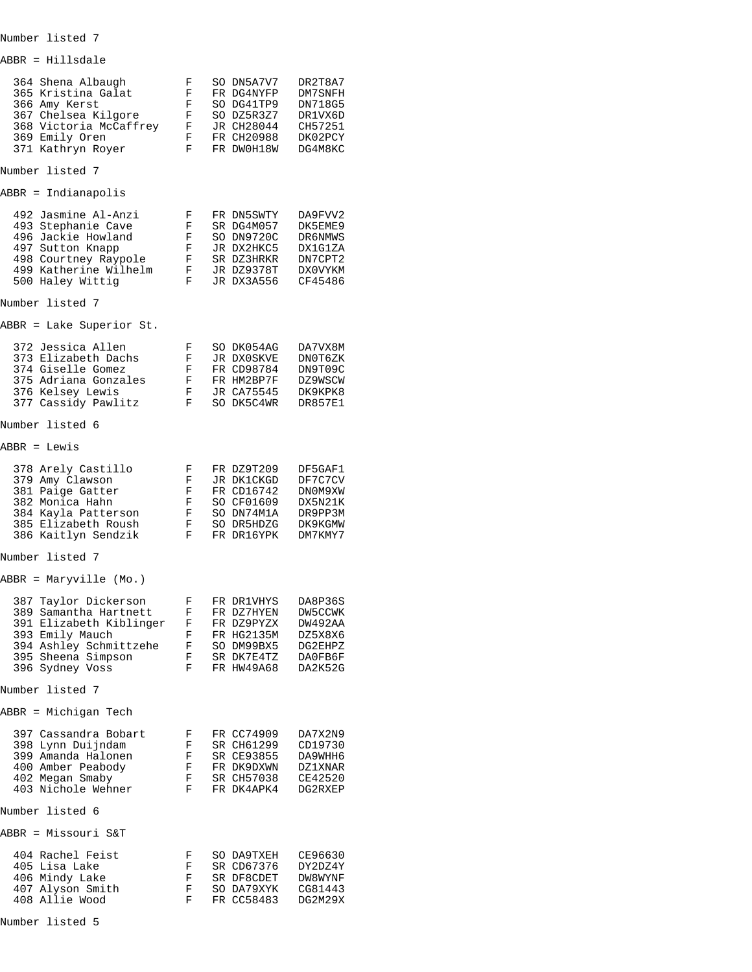| ABBR = Hillsdale                                                                                                                                               |                                 |                                                                                                |                                                                           |
|----------------------------------------------------------------------------------------------------------------------------------------------------------------|---------------------------------|------------------------------------------------------------------------------------------------|---------------------------------------------------------------------------|
| 364 Shena Albaugh<br>365 Kristina Galat<br>366 Amy Kerst<br>367 Chelsea Kilgore<br>368 Victoria McCaffrey<br>369 Emily Oren<br>371 Kathryn Royer               | F<br>F<br>F<br>F<br>F<br>F<br>F | SO DN5A7V7<br>FR DG4NYFP<br>SO DG41TP9<br>SO DZ5R3Z7<br>JR CH28044<br>FR CH20988<br>FR DWOH18W | DR2T8A7<br>DM7SNFH<br>DN718G5<br>DR1VX6D<br>CH57251<br>DK02PCY<br>DG4M8KC |
| Number listed 7                                                                                                                                                |                                 |                                                                                                |                                                                           |
| ABBR = Indianapolis                                                                                                                                            |                                 |                                                                                                |                                                                           |
| 492 Jasmine Al-Anzi<br>493 Stephanie Cave<br>496 Jackie Howland<br>497 Sutton Knapp<br>498 Courtney Raypole<br>499 Katherine Wilhelm<br>500 Haley Wittig       | F<br>F<br>F<br>F<br>F<br>F<br>F | FR DN5SWTY<br>SR DG4M057<br>SO DN9720C<br>JR DX2HKC5<br>SR DZ3HRKR<br>JR DZ9378T<br>JR DX3A556 | DA9FVV2<br>DK5EME9<br>DR6NMWS<br>DX1G1ZA<br>DN7CPT2<br>DX0VYKM<br>CF45486 |
| Number listed 7                                                                                                                                                |                                 |                                                                                                |                                                                           |
| ABBR = Lake Superior St.                                                                                                                                       |                                 |                                                                                                |                                                                           |
| 372 Jessica Allen<br>373 Elizabeth Dachs<br>374 Giselle Gomez<br>375 Adriana Gonzales<br>376 Kelsey Lewis<br>377 Cassidy Pawlitz                               | F<br>F<br>F<br>F<br>F<br>F      | SO DK054AG<br>JR DX0SKVE<br>FR CD98784<br>FR HM2BP7F<br>JR CA75545<br>SO DK5C4WR               | DA7VX8M<br>DN0T6ZK<br>DN9T09C<br>DZ9WSCW<br>DK9KPK8<br><b>DR857E1</b>     |
| Number listed 6                                                                                                                                                |                                 |                                                                                                |                                                                           |
| ABBR = Lewis                                                                                                                                                   |                                 |                                                                                                |                                                                           |
| 378 Arely Castillo<br>379 Amy Clawson<br>381 Paige Gatter<br>382 Monica Hahn<br>384 Kayla Patterson<br>385 Elizabeth Roush<br>386 Kaitlyn Sendzik              | F<br>F<br>F<br>F<br>F<br>F<br>F | FR DZ9T209<br>JR DK1CKGD<br>FR CD16742<br>SO CF01609<br>SO DN74M1A<br>SO DR5HDZG<br>FR DR16YPK | DF5GAF1<br>DF7C7CV<br>DN0M9XW<br>DX5N21K<br>DR9PP3M<br>DK9KGMW<br>DM7KMY7 |
| Number listed 7                                                                                                                                                |                                 |                                                                                                |                                                                           |
| ABBR = Maryville (Mo.)                                                                                                                                         |                                 |                                                                                                |                                                                           |
| 387 Taylor Dickerson<br>389 Samantha Hartnett<br>391 Elizabeth Kiblinger<br>393 Emily Mauch<br>394 Ashley Schmittzehe<br>395 Sheena Simpson<br>396 Sydney Voss | F<br>F<br>F<br>F<br>F<br>F<br>F | FR DR1VHYS<br>FR DZ7HYEN<br>FR DZ9PYZX<br>FR HG2135M<br>SO DM99BX5<br>SR DK7E4TZ<br>FR HW49A68 | DA8P36S<br>DW5CCWK<br>DW492AA<br>DZ5X8X6<br>DG2EHPZ<br>DA0FB6F<br>DA2K52G |
| Number listed 7                                                                                                                                                |                                 |                                                                                                |                                                                           |
| ABBR = Michigan Tech                                                                                                                                           |                                 |                                                                                                |                                                                           |
| 397 Cassandra Bobart<br>398 Lynn Duijndam<br>399 Amanda Halonen<br>400 Amber Peabody<br>402 Megan Smaby<br>403 Nichole Wehner                                  | F<br>F<br>F<br>F<br>F<br>F      | FR CC74909<br>SR CH61299<br>SR CE93855<br>FR DK9DXWN<br>SR CH57038<br>FR DK4APK4               | DA7X2N9<br>CD19730<br>DA9WHH6<br><b>DZ1XNAR</b><br>CE42520<br>DG2RXEP     |
| Number listed 6                                                                                                                                                |                                 |                                                                                                |                                                                           |
| ABBR = Missouri S&T                                                                                                                                            |                                 |                                                                                                |                                                                           |
| 404 Rachel Feist<br>405 Lisa Lake<br>406 Mindy Lake<br>407 Alyson Smith<br>408 Allie Wood                                                                      | F<br>F<br>F<br>F<br>F           | SO DA9TXEH<br>SR CD67376<br>SR DF8CDET<br>SO DA79XYK<br>FR CC58483                             | CE96630<br>DY2DZ4Y<br>DW8WYNF<br>CG81443<br>DG2M29X                       |

Number listed 5

Number listed 7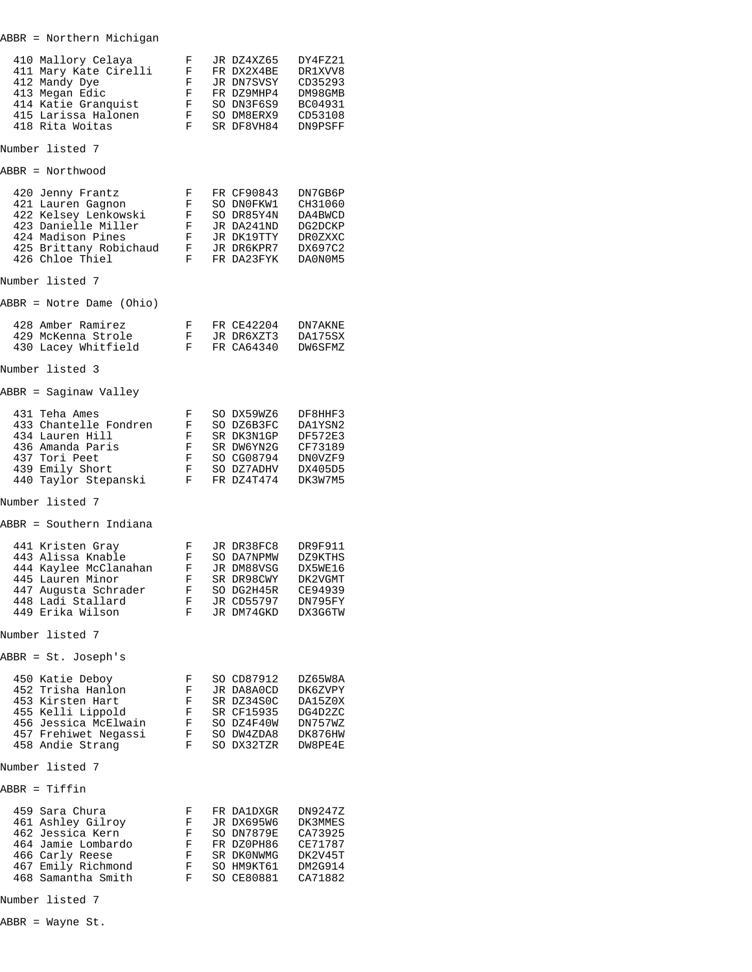| 410 Mallory Celaya<br>411 Mary Kate Cirelli<br>412 Mandy Dye<br>413 Megan Edic<br>414 Katie Granquist<br>415 Larissa Halonen<br>418 Rita Woitas        | F<br>F<br>F<br>F<br>F<br>F<br>F  | JR DZ4XZ65<br>FR DX2X4BE<br>JR DN7SVSY<br>FR DZ9MHP4<br>SO DN3F6S9<br>SO DM8ERX9<br>SR DF8VH84 | DY4FZ21<br>DR1XVV8<br>CD35293<br>DM98GMB<br>BC04931<br>CD53108<br>DN9PSFF |
|--------------------------------------------------------------------------------------------------------------------------------------------------------|----------------------------------|------------------------------------------------------------------------------------------------|---------------------------------------------------------------------------|
| Number listed 7                                                                                                                                        |                                  |                                                                                                |                                                                           |
| ABBR = Northwood                                                                                                                                       |                                  |                                                                                                |                                                                           |
| 420 Jenny Frantz<br>421 Lauren Gagnon<br>422 Kelsey Lenkowski<br>423 Danielle Miller<br>424 Madison Pines<br>425 Brittany Robichaud<br>426 Chloe Thiel | F<br>F<br>F<br>F<br>F<br>F<br>F  | FR CF90843<br>SO DNOFKW1<br>SO DR85Y4N<br>JR DA241ND<br>JR DK19TTY<br>JR DR6KPR7<br>FR DA23FYK | DN7GB6P<br>CH31060<br>DA4BWCD<br>DG2DCKP<br>DR0ZXXC<br>DX697C2<br>DA0N0M5 |
| Number listed 7                                                                                                                                        |                                  |                                                                                                |                                                                           |
| ABBR = Notre Dame (Ohio)                                                                                                                               |                                  |                                                                                                |                                                                           |
| 428 Amber Ramirez<br>429 McKenna Strole<br>430 Lacey Whitfield                                                                                         | F<br>F.<br>F                     | FR CE42204<br>JR DR6XZT3<br>FR CA64340                                                         | DN7AKNE<br>DA175SX<br>DW6SFMZ                                             |
| Number listed 3                                                                                                                                        |                                  |                                                                                                |                                                                           |
| ABBR = Saginaw Valley                                                                                                                                  |                                  |                                                                                                |                                                                           |
| 431 Teha Ames<br>433 Chantelle Fondren<br>434 Lauren Hill<br>436 Amanda Paris<br>437 Tori Peet<br>439 Emily Short<br>440 Taylor Stepanski              | F<br>F<br>F<br>F<br>F<br>F<br>F  | SO DX59WZ6<br>SO DZ6B3FC<br>SR DK3N1GP<br>SR DW6YN2G<br>SO CG08794<br>SO DZ7ADHV<br>FR DZ4T474 | DF8HHF3<br>DA1YSN2<br>DF572E3<br>CF73189<br>DN0VZF9<br>DX405D5<br>DK3W7M5 |
| Number listed 7                                                                                                                                        |                                  |                                                                                                |                                                                           |
| ABBR = Southern Indiana                                                                                                                                |                                  |                                                                                                |                                                                           |
| 441 Kristen Gray<br>443 Alissa Knable<br>444 Kaylee McClanahan<br>445 Lauren Minor<br>447 Augusta Schrader<br>448 Ladi Stallard<br>449 Erika Wilson    | F<br>F.<br>F<br>F<br>F<br>F<br>F | JR DR38FC8<br>SO DA7NPMW<br>JR DM88VSG<br>SR DR98CWY<br>SO DG2H45R<br>JR CD55797<br>JR DM74GKD | DR9F911<br>DZ9KTHS<br>DX5WE16<br>DK2VGMT<br>CE94939<br>DN795FY<br>DX3G6TW |
| Number listed 7                                                                                                                                        |                                  |                                                                                                |                                                                           |
| ABBR = St. Joseph's                                                                                                                                    |                                  |                                                                                                |                                                                           |
| 450 Katie Deboy<br>452 Trisha Hanlon<br>453 Kirsten Hart<br>455 Kelli Lippold<br>456 Jessica McElwain<br>457 Frehiwet Negassi<br>458 Andie Strang      | F<br>F<br>F<br>F<br>F<br>F<br>F  | SO CD87912<br>JR DA8A0CD<br>SR DZ34S0C<br>SR CF15935<br>SO DZ4F40W<br>SO DW4ZDA8<br>SO DX32TZR | DZ65W8A<br>DK6ZVPY<br>DA15Z0X<br>DG4D2ZC<br>DN757WZ<br>DK876HW<br>DW8PE4E |
| Number listed 7                                                                                                                                        |                                  |                                                                                                |                                                                           |
| ABBR = Tiffin                                                                                                                                          |                                  |                                                                                                |                                                                           |
| 459 Sara Chura<br>461 Ashley Gilroy<br>462 Jessica Kern<br>464 Jamie Lombardo<br>466 Carly Reese<br>467 Emily Richmond<br>468 Samantha Smith           | F<br>F<br>F<br>F<br>F<br>F<br>F  | FR DA1DXGR<br>JR DX695W6<br>SO DN7879E<br>FR DZ0PH86<br>SR DK0NWMG<br>SO HM9KT61<br>SO CE80881 | DN9247Z<br>DK3MMES<br>CA73925<br>CE71787<br>DK2V45T<br>DM2G914<br>CA71882 |
|                                                                                                                                                        |                                  |                                                                                                |                                                                           |

ABBR = Northern Michigan

Number listed 7

ABBR = Wayne St.